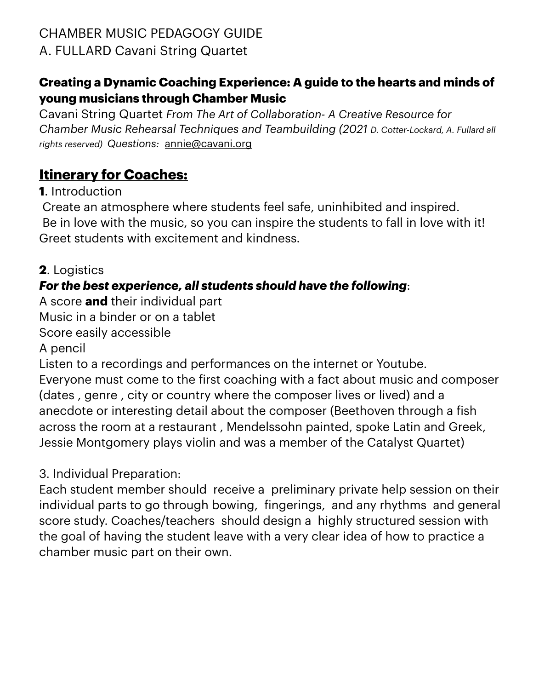# **Creating a Dynamic Coaching Experience: A guide to the hearts and minds of young musicians through Chamber Music**

Cavani String Quartet *From The Art of Collaboration- A Creative Resource for Chamber Music Rehearsal Techniques and Teambuilding (2021 D. Cotter-Lockard, A. Fullard all rights reserved) Questions:* [annie@cavani.org](mailto:annie@cavani.org)

# **Itinerary for Coaches:**

**1**. Introduction

 Create an atmosphere where students feel safe, uninhibited and inspired. Be in love with the music, so you can inspire the students to fall in love with it! Greet students with excitement and kindness.

**2**. Logistics

# *For the best experience, all students should have the following*:

A score **and** their individual part

Music in a binder or on a tablet

Score easily accessible

A pencil

Listen to a recordings and performances on the internet or Youtube. Everyone must come to the first coaching with a fact about music and composer (dates , genre , city or country where the composer lives or lived) and a anecdote or interesting detail about the composer (Beethoven through a fish across the room at a restaurant , Mendelssohn painted, spoke Latin and Greek, Jessie Montgomery plays violin and was a member of the Catalyst Quartet)

3. Individual Preparation:

Each student member should receive a preliminary private help session on their individual parts to go through bowing, fingerings, and any rhythms and general score study. Coaches/teachers should design a highly structured session with the goal of having the student leave with a very clear idea of how to practice a chamber music part on their own.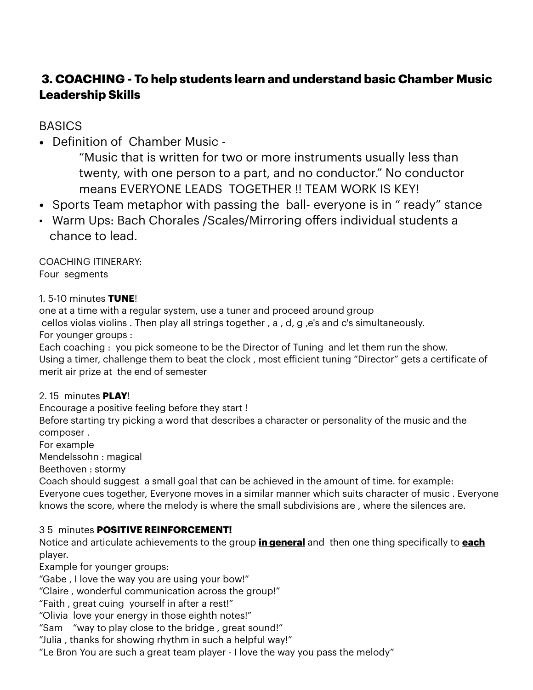## **3. COACHING - To help students learn and understand basic Chamber Music Leadership Skills**

## **BASICS**

• Definition of Chamber Music -

"Music that is written for two or more instruments usually less than twenty, with one person to a part, and no conductor." No conductor means EVERYONE LEADS TOGETHER !! TEAM WORK IS KEY!

- Sports Team metaphor with passing the ball- everyone is in " ready" stance
- Warm Ups: Bach Chorales /Scales/Mirroring offers individual students a chance to lead.

COACHING ITINERARY: Four segments

### 1. 5-10 minutes **TUNE**!

one at a time with a regular system, use a tuner and proceed around group cellos violas violins . Then play all strings together , a , d, g ,e's and c's simultaneously. For younger groups :

Each coaching : you pick someone to be the Director of Tuning and let them run the show. Using a timer, challenge them to beat the clock , most efficient tuning "Director" gets a certificate of merit air prize at the end of semester

## 2. 15 minutes **PLAY**!

Encourage a positive feeling before they start !

Before starting try picking a word that describes a character or personality of the music and the composer .

For example

Mendelssohn : magical

Beethoven : stormy

Coach should suggest a small goal that can be achieved in the amount of time. for example: Everyone cues together, Everyone moves in a similar manner which suits character of music . Everyone knows the score, where the melody is where the small subdivisions are , where the silences are.

## 3 5 minutes **POSITIVE REINFORCEMENT!**

Notice and articulate achievements to the group **in general** and then one thing specifically to **each** player.

Example for younger groups:

"Gabe , I love the way you are using your bow!"

"Claire , wonderful communication across the group!"

"Faith , great cuing yourself in after a rest!"

"Olivia love your energy in those eighth notes!"

"Sam "way to play close to the bridge , great sound!"

"Julia , thanks for showing rhythm in such a helpful way!"

"Le Bron You are such a great team player - I love the way you pass the melody"